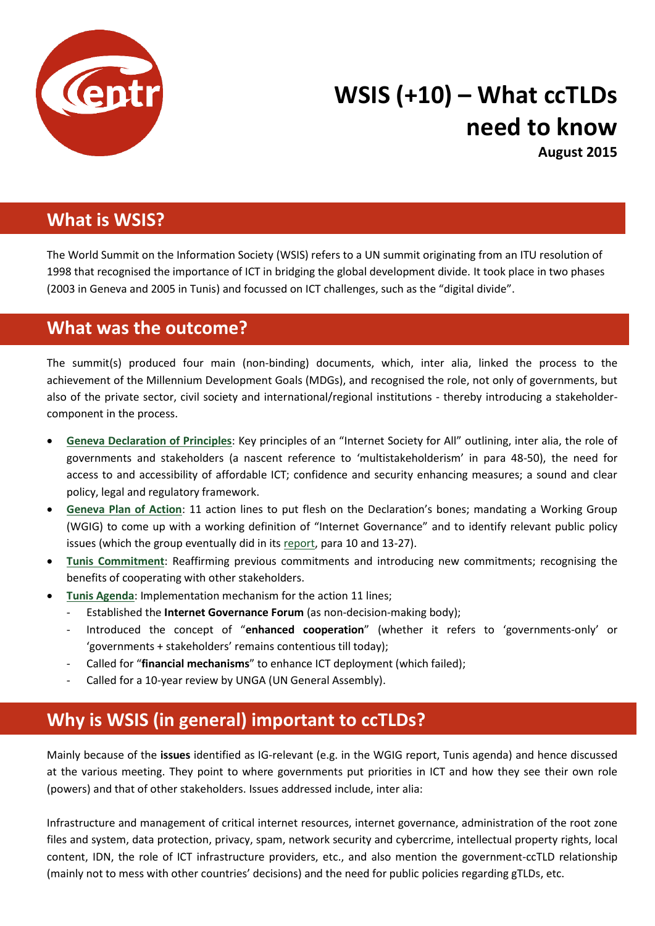

# **WSIS (+10) – What ccTLDs need to know**

**August 2015**

### **What is WSIS?**

The World Summit on the Information Society (WSIS) refers to a UN summit originating from an ITU resolution of 1998 that recognised the importance of ICT in bridging the global development divide. It took place in two phases (2003 in Geneva and 2005 in Tunis) and focussed on ICT challenges, such as the "digital divide".

## **What was the outcome?**

The summit(s) produced four main (non-binding) documents, which, inter alia, linked the process to the achievement of the Millennium Development Goals (MDGs), and recognised the role, not only of governments, but also of the private sector, civil society and international/regional institutions - thereby introducing a stakeholdercomponent in the process.

- **[Geneva Declaration of Principles](http://www.itu.int/wsis/docs/geneva/official/dop.html)**: Key principles of an "Internet Society for All" outlining, inter alia, the role of governments and stakeholders (a nascent reference to 'multistakeholderism' in para 48-50), the need for access to and accessibility of affordable ICT; confidence and security enhancing measures; a sound and clear policy, legal and regulatory framework.
- **[Geneva Plan of Action](http://www.itu.int/wsis/docs/geneva/official/poa.html)**: 11 action lines to put flesh on the Declaration's bones; mandating a Working Group (WGIG) to come up with a working definition of "Internet Governance" and to identify relevant public policy issues (which the group eventually did in it[s report,](http://www.wgig.org/docs/WGIGREPORT.pdf) para 10 and 13-27).
- **[Tunis Commitment](http://www.itu.int/wsis/docs2/tunis/off/7.html)**: Reaffirming previous commitments and introducing new commitments; recognising the benefits of cooperating with other stakeholders.
- **[Tunis Agenda](http://www.itu.int/wsis/docs2/tunis/off/6rev1.html)**: Implementation mechanism for the action 11 lines;
	- Established the **Internet Governance Forum** (as non-decision-making body);
	- Introduced the concept of "**enhanced cooperation**" (whether it refers to 'governments-only' or 'governments + stakeholders' remains contentious till today);
	- Called for "**financial mechanisms**" to enhance ICT deployment (which failed);
	- Called for a 10-year review by UNGA (UN General Assembly).

# **Why is WSIS (in general) important to ccTLDs?**

Mainly because of the **issues** identified as IG-relevant (e.g. in the WGIG report, Tunis agenda) and hence discussed at the various meeting. They point to where governments put priorities in ICT and how they see their own role (powers) and that of other stakeholders. Issues addressed include, inter alia:

Infrastructure and management of critical internet resources, internet governance, administration of the root zone files and system, data protection, privacy, spam, network security and cybercrime, intellectual property rights, local content, IDN, the role of ICT infrastructure providers, etc., and also mention the government-ccTLD relationship (mainly not to mess with other countries' decisions) and the need for public policies regarding gTLDs, etc.